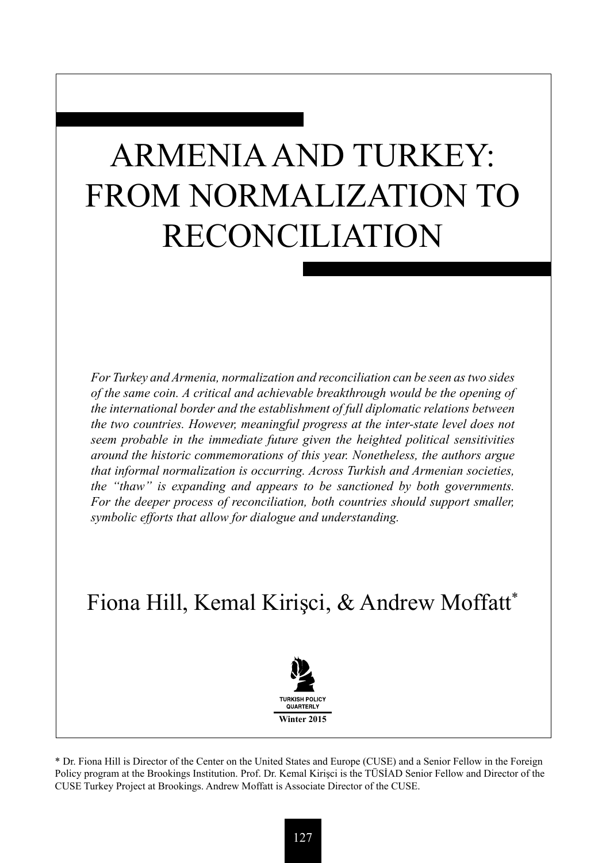# ARMENIA AND TURKEY: FROM NORMALIZATION TO RECONCILIATION

*For Turkey and Armenia, normalization and reconciliation can be seen as two sides of the same coin. A critical and achievable breakthrough would be the opening of the international border and the establishment of full diplomatic relations between the two countries. However, meaningful progress at the inter-state level does not seem probable in the immediate future given the heighted political sensitivities around the historic commemorations of this year. Nonetheless, the authors argue that informal normalization is occurring. Across Turkish and Armenian societies, the "thaw" is expanding and appears to be sanctioned by both governments.*  For the deeper process of reconciliation, both countries should support smaller, *symbolic efforts that allow for dialogue and understanding.* 

# Fiona Hill, Kemal Kirişci, & Andrew Moffatt\*



\* Dr. Fiona Hill is Director of the Center on the United States and Europe (CUSE) and a Senior Fellow in the Foreign Policy program at the Brookings Institution. Prof. Dr. Kemal Kirişci is the TÜSİAD Senior Fellow and Director of the CUSE Turkey Project at Brookings. Andrew Moffatt is Associate Director of the CUSE.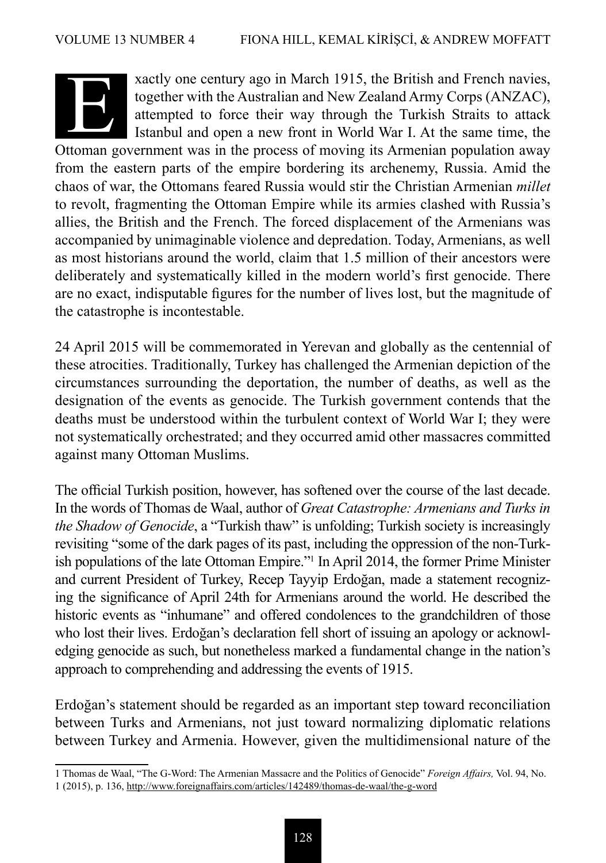

xactly one century ago in March 1915, the British and French navies, together with the Australian and New Zealand Army Corps (ANZAC), attempted to force their way through the Turkish Straits to attack xactly one century ago in March 1915, the British and French navies, together with the Australian and New Zealand Army Corps (ANZAC), attempted to force their way through the Turkish Straits to attack Istanbul and open a n

Istanbul and open a new front in World War I. At the same time, the from the eastern parts of the empire bordering its archenemy, Russia. Amid the chaos of war, the Ottomans feared Russia would stir the Christian Armenian *millet* to revolt, fragmenting the Ottoman Empire while its armies clashed with Russia's allies, the British and the French. The forced displacement of the Armenians was accompanied by unimaginable violence and depredation. Today, Armenians, as well as most historians around the world, claim that 1.5 million of their ancestors were deliberately and systematically killed in the modern world's first genocide. There are no exact, indisputable figures for the number of lives lost, but the magnitude of the catastrophe is incontestable.

24 April 2015 will be commemorated in Yerevan and globally as the centennial of these atrocities. Traditionally, Turkey has challenged the Armenian depiction of the circumstances surrounding the deportation, the number of deaths, as well as the designation of the events as genocide. The Turkish government contends that the deaths must be understood within the turbulent context of World War I; they were not systematically orchestrated; and they occurred amid other massacres committed against many Ottoman Muslims.

The official Turkish position, however, has softened over the course of the last decade. In the words of Thomas de Waal, author of *Great Catastrophe: Armenians and Turks in the Shadow of Genocide*, a "Turkish thaw" is unfolding; Turkish society is increasingly revisiting "some of the dark pages of its past, including the oppression of the non-Turkish populations of the late Ottoman Empire."<sup>1</sup> In April 2014, the former Prime Minister and current President of Turkey, Recep Tayyip Erdoğan, made a statement recognizing the significance of April 24th for Armenians around the world. He described the historic events as "inhumane" and offered condolences to the grandchildren of those who lost their lives. Erdoğan's declaration fell short of issuing an apology or acknowledging genocide as such, but nonetheless marked a fundamental change in the nation's approach to comprehending and addressing the events of 1915.

Erdoğan's statement should be regarded as an important step toward reconciliation between Turks and Armenians, not just toward normalizing diplomatic relations between Turkey and Armenia. However, given the multidimensional nature of the

<sup>1</sup> Thomas de Waal, "The G-Word: The Armenian Massacre and the Politics of Genocide" *Foreign Affairs,* Vol. 94, No. 1 (2015), p. 136, http://www.foreignaffairs.com/articles/142489/thomas-de-waal/the-g-word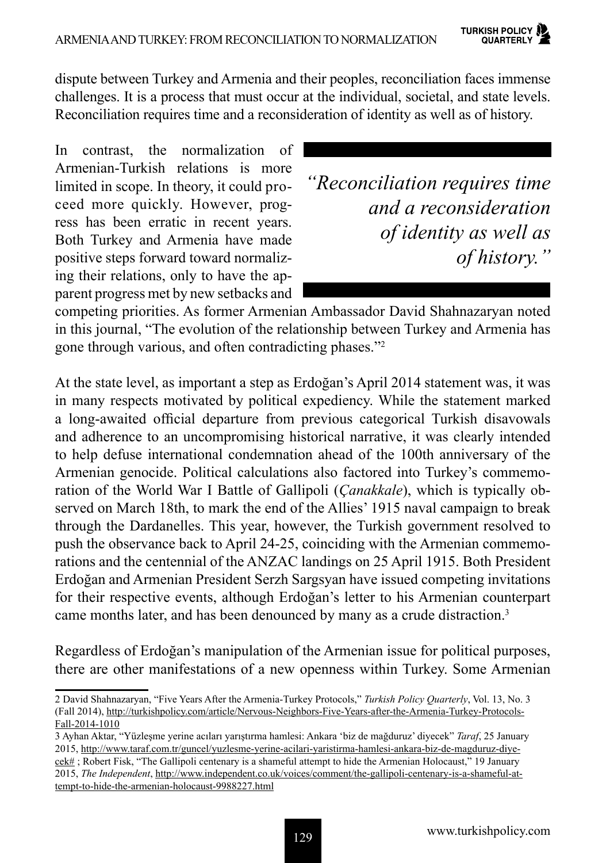dispute between Turkey and Armenia and their peoples, reconciliation faces immense challenges. It is a process that must occur at the individual, societal, and state levels. Reconciliation requires time and a reconsideration of identity as well as of history.

In contrast, the normalization of Armenian-Turkish relations is more limited in scope. In theory, it could proceed more quickly. However, progress has been erratic in recent years. Both Turkey and Armenia have made positive steps forward toward normalizing their relations, only to have the apparent progress met by new setbacks and

*"Reconciliation requires time and a reconsideration of identity as well as of history."*

competing priorities. As former Armenian Ambassador David Shahnazaryan noted in this journal, "The evolution of the relationship between Turkey and Armenia has gone through various, and often contradicting phases."<sup>2</sup>

At the state level, as important a step as Erdoğan's April 2014 statement was, it was in many respects motivated by political expediency. While the statement marked a long-awaited official departure from previous categorical Turkish disavowals and adherence to an uncompromising historical narrative, it was clearly intended to help defuse international condemnation ahead of the 100th anniversary of the Armenian genocide. Political calculations also factored into Turkey's commemoration of the World War I Battle of Gallipoli (*Çanakkale*), which is typically observed on March 18th, to mark the end of the Allies' 1915 naval campaign to break through the Dardanelles. This year, however, the Turkish government resolved to push the observance back to April 24-25, coinciding with the Armenian commemorations and the centennial of the ANZAC landings on 25 April 1915. Both President Erdoğan and Armenian President Serzh Sargsyan have issued competing invitations for their respective events, although Erdoğan's letter to his Armenian counterpart came months later, and has been denounced by many as a crude distraction.<sup>3</sup>

Regardless of Erdoğan's manipulation of the Armenian issue for political purposes, there are other manifestations of a new openness within Turkey. Some Armenian

<sup>2</sup> David Shahnazaryan, "Five Years After the Armenia-Turkey Protocols," *Turkish Policy Quarterly*, Vol. 13, No. 3 (Fall 2014), http://turkishpolicy.com/article/Nervous-Neighbors-Five-Years-after-the-Armenia-Turkey-Protocols-Fall-2014-1010

<sup>3</sup> Ayhan Aktar, "Yüzleşme yerine acıları yarıştırma hamlesi: Ankara 'biz de mağduruz' diyecek" *Taraf*, 25 January 2015, http://www.taraf.com.tr/guncel/yuzlesme-yerine-acilari-yaristirma-hamlesi-ankara-biz-de-magduruz-diyecek# ; Robert Fisk, "The Gallipoli centenary is a shameful attempt to hide the Armenian Holocaust," 19 January 2015, *The Independent*, http://www.independent.co.uk/voices/comment/the-gallipoli-centenary-is-a-shameful-attempt-to-hide-the-armenian-holocaust-9988227.html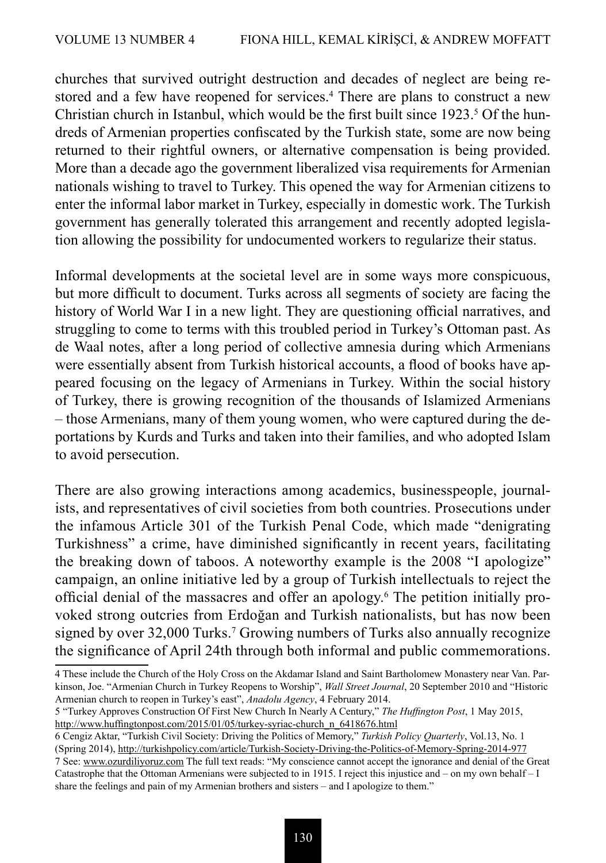churches that survived outright destruction and decades of neglect are being restored and a few have reopened for services.<sup>4</sup> There are plans to construct a new Christian church in Istanbul, which would be the first built since  $1923$ <sup>5</sup> Of the hundreds of Armenian properties confiscated by the Turkish state, some are now being returned to their rightful owners, or alternative compensation is being provided. More than a decade ago the government liberalized visa requirements for Armenian nationals wishing to travel to Turkey. This opened the way for Armenian citizens to enter the informal labor market in Turkey, especially in domestic work. The Turkish government has generally tolerated this arrangement and recently adopted legislation allowing the possibility for undocumented workers to regularize their status.

Informal developments at the societal level are in some ways more conspicuous, but more difficult to document. Turks across all segments of society are facing the history of World War I in a new light. They are questioning official narratives, and struggling to come to terms with this troubled period in Turkey's Ottoman past. As de Waal notes, after a long period of collective amnesia during which Armenians were essentially absent from Turkish historical accounts, a flood of books have appeared focusing on the legacy of Armenians in Turkey. Within the social history of Turkey, there is growing recognition of the thousands of Islamized Armenians – those Armenians, many of them young women, who were captured during the deportations by Kurds and Turks and taken into their families, and who adopted Islam to avoid persecution.

There are also growing interactions among academics, businesspeople, journalists, and representatives of civil societies from both countries. Prosecutions under the infamous Article 301 of the Turkish Penal Code, which made "denigrating Turkishness" a crime, have diminished significantly in recent years, facilitating the breaking down of taboos. A noteworthy example is the 2008 "I apologize" campaign, an online initiative led by a group of Turkish intellectuals to reject the official denial of the massacres and offer an apology.6 The petition initially provoked strong outcries from Erdoğan and Turkish nationalists, but has now been signed by over 32,000 Turks.<sup>7</sup> Growing numbers of Turks also annually recognize the significance of April 24th through both informal and public commemorations.

6 Cengiz Aktar, "Turkish Civil Society: Driving the Politics of Memory," *Turkish Policy Quarterly*, Vol.13, No. 1 (Spring 2014), http://turkishpolicy.com/article/Turkish-Society-Driving-the-Politics-of-Memory-Spring-2014-977 7 See: www.ozurdiliyoruz.com The full text reads: "My conscience cannot accept the ignorance and denial of the Great Catastrophe that the Ottoman Armenians were subjected to in 1915. I reject this injustice and – on my own behalf – I

<sup>4</sup> These include the Church of the Holy Cross on the Akdamar Island and Saint Bartholomew Monastery near Van. Parkinson, Joe. "Armenian Church in Turkey Reopens to Worship", *Wall Street Journal*, 20 September 2010 and "Historic Armenian church to reopen in Turkey's east", *Anadolu Agency*, 4 February 2014.

<sup>5 &</sup>quot;Turkey Approves Construction Of First New Church In Nearly A Century," *The Huffington Post*, 1 May 2015, http://www.huffingtonpost.com/2015/01/05/turkey-syriac-church\_n\_6418676.html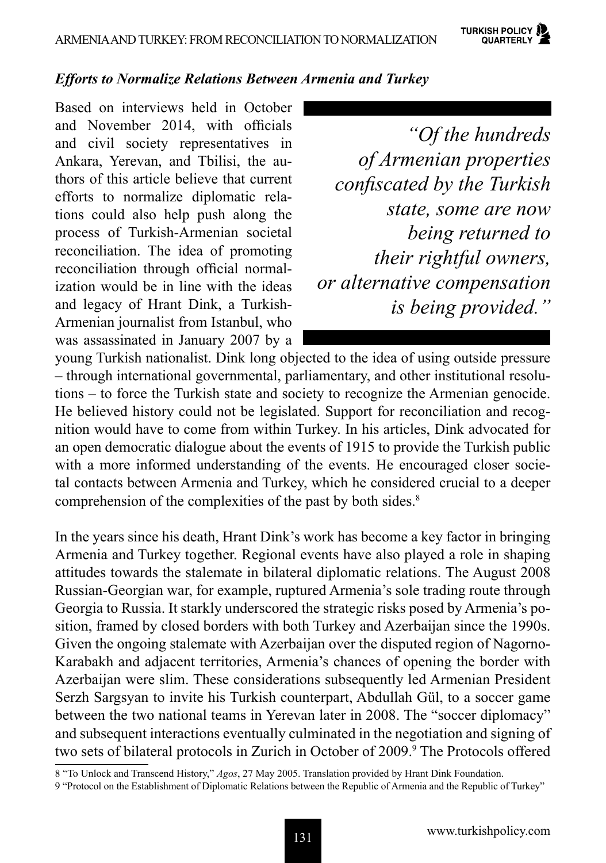**TURKISH POLICY** QUARTERLY

## *Efforts to Normalize Relations Between Armenia and Turkey*

Based on interviews held in October and November 2014, with officials and civil society representatives in Ankara, Yerevan, and Tbilisi, the authors of this article believe that current efforts to normalize diplomatic relations could also help push along the process of Turkish-Armenian societal reconciliation. The idea of promoting reconciliation through official normalization would be in line with the ideas and legacy of Hrant Dink, a Turkish-Armenian journalist from Istanbul, who was assassinated in January 2007 by a

*"Of the hundreds of Armenian properties confiscated by the Turkish state, some are now being returned to their rightful owners, or alternative compensation is being provided."*

young Turkish nationalist. Dink long objected to the idea of using outside pressure – through international governmental, parliamentary, and other institutional resolutions – to force the Turkish state and society to recognize the Armenian genocide. He believed history could not be legislated. Support for reconciliation and recognition would have to come from within Turkey. In his articles, Dink advocated for an open democratic dialogue about the events of 1915 to provide the Turkish public with a more informed understanding of the events. He encouraged closer societal contacts between Armenia and Turkey, which he considered crucial to a deeper comprehension of the complexities of the past by both sides.<sup>8</sup>

In the years since his death, Hrant Dink's work has become a key factor in bringing Armenia and Turkey together. Regional events have also played a role in shaping attitudes towards the stalemate in bilateral diplomatic relations. The August 2008 Russian-Georgian war, for example, ruptured Armenia's sole trading route through Georgia to Russia. It starkly underscored the strategic risks posed by Armenia's position, framed by closed borders with both Turkey and Azerbaijan since the 1990s. Given the ongoing stalemate with Azerbaijan over the disputed region of Nagorno-Karabakh and adjacent territories, Armenia's chances of opening the border with Azerbaijan were slim. These considerations subsequently led Armenian President Serzh Sargsyan to invite his Turkish counterpart, Abdullah Gül, to a soccer game between the two national teams in Yerevan later in 2008. The "soccer diplomacy" and subsequent interactions eventually culminated in the negotiation and signing of two sets of bilateral protocols in Zurich in October of 2009.<sup>9</sup> The Protocols offered

8 "To Unlock and Transcend History," *Agos*, 27 May 2005. Translation provided by Hrant Dink Foundation.

<sup>9 &</sup>quot;Protocol on the Establishment of Diplomatic Relations between the Republic of Armenia and the Republic of Turkey"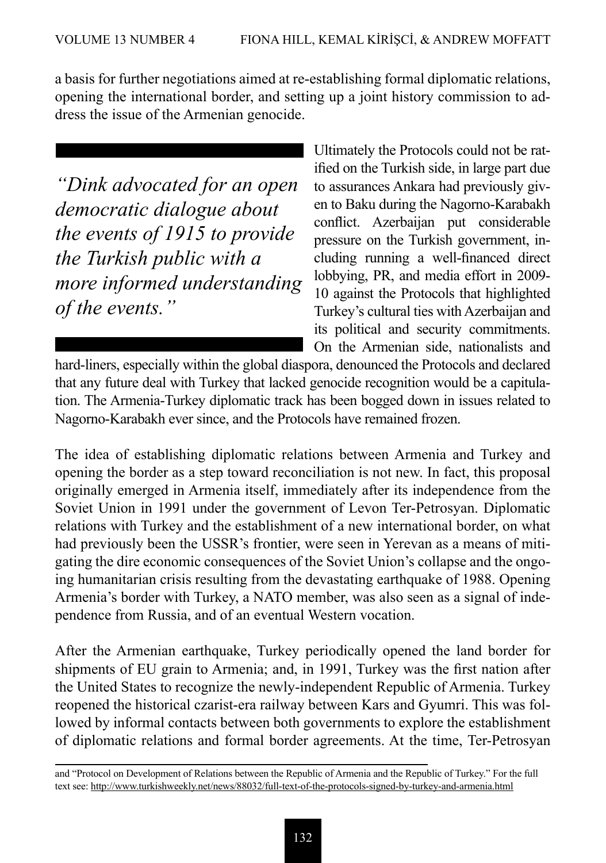a basis for further negotiations aimed at re-establishing formal diplomatic relations, opening the international border, and setting up a joint history commission to address the issue of the Armenian genocide.

*"Dink advocated for an open democratic dialogue about the events of 1915 to provide the Turkish public with a more informed understanding of the events."*

Ultimately the Protocols could not be ratified on the Turkish side, in large part due to assurances Ankara had previously given to Baku during the Nagorno-Karabakh conflict. Azerbaijan put considerable pressure on the Turkish government, including running a well-financed direct lobbying, PR, and media effort in 2009- 10 against the Protocols that highlighted Turkey's cultural ties with Azerbaijan and its political and security commitments. On the Armenian side, nationalists and

hard-liners, especially within the global diaspora, denounced the Protocols and declared that any future deal with Turkey that lacked genocide recognition would be a capitulation. The Armenia-Turkey diplomatic track has been bogged down in issues related to Nagorno-Karabakh ever since, and the Protocols have remained frozen.

The idea of establishing diplomatic relations between Armenia and Turkey and opening the border as a step toward reconciliation is not new. In fact, this proposal originally emerged in Armenia itself, immediately after its independence from the Soviet Union in 1991 under the government of Levon Ter-Petrosyan. Diplomatic relations with Turkey and the establishment of a new international border, on what had previously been the USSR's frontier, were seen in Yerevan as a means of mitigating the dire economic consequences of the Soviet Union's collapse and the ongoing humanitarian crisis resulting from the devastating earthquake of 1988. Opening Armenia's border with Turkey, a NATO member, was also seen as a signal of independence from Russia, and of an eventual Western vocation.

After the Armenian earthquake, Turkey periodically opened the land border for shipments of EU grain to Armenia; and, in 1991, Turkey was the first nation after the United States to recognize the newly-independent Republic of Armenia. Turkey reopened the historical czarist-era railway between Kars and Gyumri. This was followed by informal contacts between both governments to explore the establishment of diplomatic relations and formal border agreements. At the time, Ter-Petrosyan

and "Protocol on Development of Relations between the Republic of Armenia and the Republic of Turkey." For the full text see: http://www.turkishweekly.net/news/88032/full-text-of-the-protocols-signed-by-turkey-and-armenia.html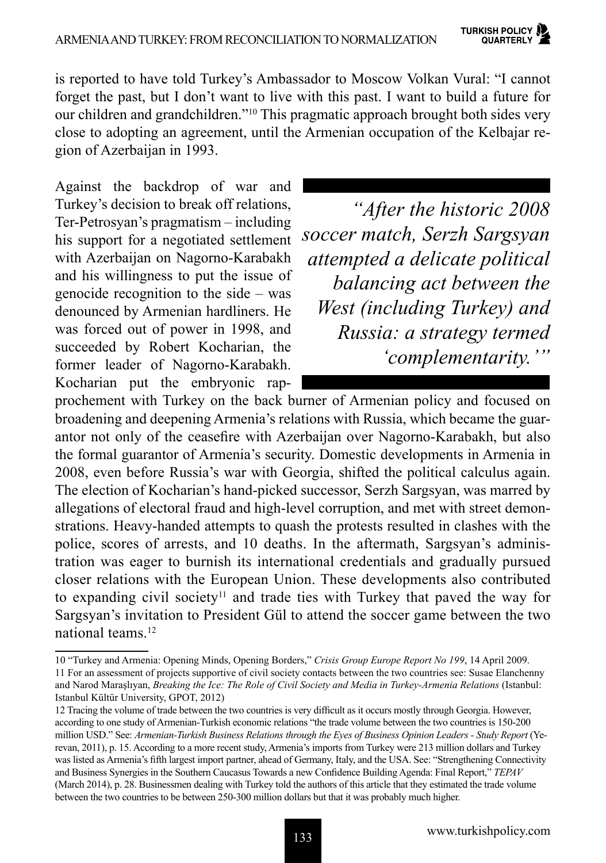is reported to have told Turkey's Ambassador to Moscow Volkan Vural: "I cannot forget the past, but I don't want to live with this past. I want to build a future for our children and grandchildren."10 This pragmatic approach brought both sides very close to adopting an agreement, until the Armenian occupation of the Kelbajar region of Azerbaijan in 1993.

Against the backdrop of war and Turkey's decision to break off relations, Ter-Petrosyan's pragmatism – including his support for a negotiated settlement with Azerbaijan on Nagorno-Karabakh and his willingness to put the issue of genocide recognition to the side – was denounced by Armenian hardliners. He was forced out of power in 1998, and succeeded by Robert Kocharian, the former leader of Nagorno-Karabakh. Kocharian put the embryonic rap-

 *"After the historic 2008 soccer match, Serzh Sargsyan attempted a delicate political balancing act between the West (including Turkey) and Russia: a strategy termed 'complementarity.'"*

prochement with Turkey on the back burner of Armenian policy and focused on broadening and deepening Armenia's relations with Russia, which became the guarantor not only of the ceasefire with Azerbaijan over Nagorno-Karabakh, but also the formal guarantor of Armenia's security. Domestic developments in Armenia in 2008, even before Russia's war with Georgia, shifted the political calculus again. The election of Kocharian's hand-picked successor, Serzh Sargsyan, was marred by allegations of electoral fraud and high-level corruption, and met with street demonstrations. Heavy-handed attempts to quash the protests resulted in clashes with the police, scores of arrests, and 10 deaths. In the aftermath, Sargsyan's administration was eager to burnish its international credentials and gradually pursued closer relations with the European Union. These developments also contributed to expanding civil society<sup>11</sup> and trade ties with Turkey that paved the way for Sargsyan's invitation to President Gül to attend the soccer game between the two national teams.<sup>12</sup>

<sup>10 &</sup>quot;Turkey and Armenia: Opening Minds, Opening Borders," *Crisis Group Europe Report No 199*, 14 April 2009.

<sup>11</sup> For an assessment of projects supportive of civil society contacts between the two countries see: Susae Elanchenny and Narod Maraşlıyan, *Breaking the Ice: The Role of Civil Society and Media in Turkey-Armenia Relations* (Istanbul: Istanbul Kültür University, GPOT, 2012)

<sup>12</sup> Tracing the volume of trade between the two countries is very difficult as it occurs mostly through Georgia. However, according to one study of Armenian-Turkish economic relations "the trade volume between the two countries is 150-200 million USD." See: *Armenian-Turkish Business Relations through the Eyes of Business Opinion Leaders - Study Report* (Yerevan, 2011), p. 15. According to a more recent study, Armenia's imports from Turkey were 213 million dollars and Turkey was listed as Armenia's fifth largest import partner, ahead of Germany, Italy, and the USA. See: "Strengthening Connectivity and Business Synergies in the Southern Caucasus Towards a new Confidence Building Agenda: Final Report," *TEPAV* (March 2014), p. 28. Businessmen dealing with Turkey told the authors of this article that they estimated the trade volume between the two countries to be between 250-300 million dollars but that it was probably much higher.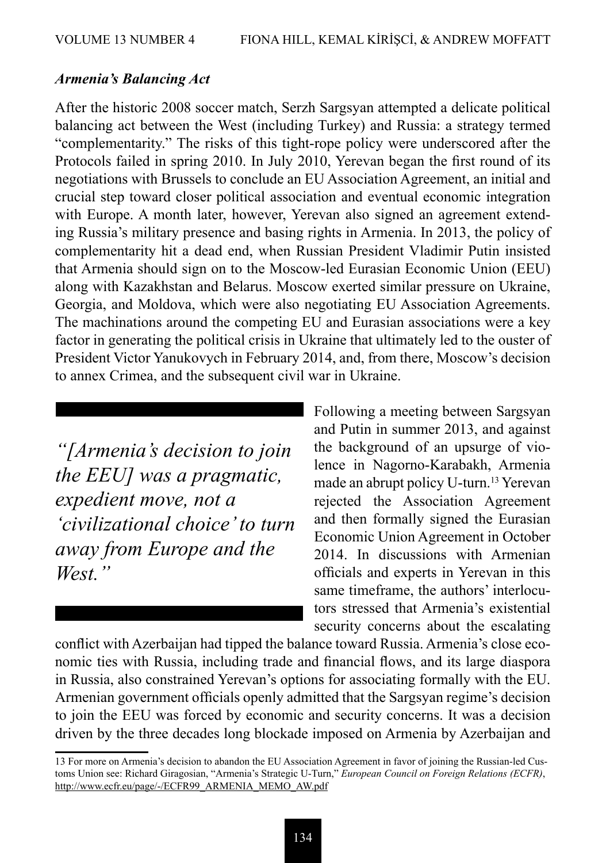#### *Armenia's Balancing Act*

After the historic 2008 soccer match, Serzh Sargsyan attempted a delicate political balancing act between the West (including Turkey) and Russia: a strategy termed "complementarity." The risks of this tight-rope policy were underscored after the Protocols failed in spring 2010. In July 2010, Yerevan began the first round of its negotiations with Brussels to conclude an EU Association Agreement, an initial and crucial step toward closer political association and eventual economic integration with Europe. A month later, however, Yerevan also signed an agreement extending Russia's military presence and basing rights in Armenia. In 2013, the policy of complementarity hit a dead end, when Russian President Vladimir Putin insisted that Armenia should sign on to the Moscow-led Eurasian Economic Union (EEU) along with Kazakhstan and Belarus. Moscow exerted similar pressure on Ukraine, Georgia, and Moldova, which were also negotiating EU Association Agreements. The machinations around the competing EU and Eurasian associations were a key factor in generating the political crisis in Ukraine that ultimately led to the ouster of President Victor Yanukovych in February 2014, and, from there, Moscow's decision to annex Crimea, and the subsequent civil war in Ukraine.

*"[Armenia's decision to join the EEU] was a pragmatic, expedient move, not a 'civilizational choice' to turn away from Europe and the West."*

Following a meeting between Sargsyan and Putin in summer 2013, and against the background of an upsurge of violence in Nagorno-Karabakh, Armenia made an abrupt policy U-turn.13 Yerevan rejected the Association Agreement and then formally signed the Eurasian Economic Union Agreement in October 2014. In discussions with Armenian officials and experts in Yerevan in this same timeframe, the authors' interlocutors stressed that Armenia's existential security concerns about the escalating

conflict with Azerbaijan had tipped the balance toward Russia. Armenia's close economic ties with Russia, including trade and financial flows, and its large diaspora in Russia, also constrained Yerevan's options for associating formally with the EU. Armenian government officials openly admitted that the Sargsyan regime's decision to join the EEU was forced by economic and security concerns. It was a decision driven by the three decades long blockade imposed on Armenia by Azerbaijan and

<sup>13</sup> For more on Armenia's decision to abandon the EU Association Agreement in favor of joining the Russian-led Customs Union see: Richard Giragosian, "Armenia's Strategic U-Turn," *European Council on Foreign Relations (ECFR)*, http://www.ecfr.eu/page/-/ECFR99\_ARMENIA\_MEMO\_AW.pdf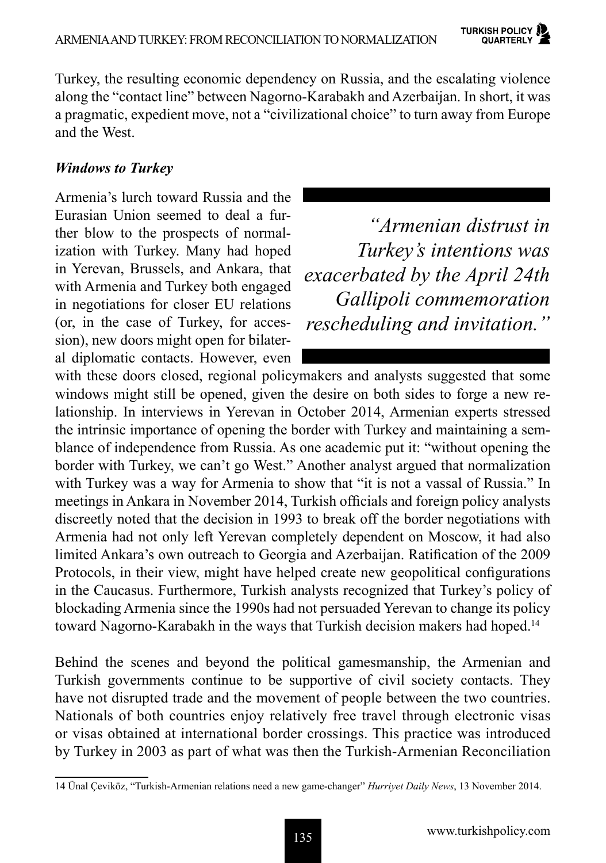Turkey, the resulting economic dependency on Russia, and the escalating violence along the "contact line" between Nagorno-Karabakh and Azerbaijan. In short, it was a pragmatic, expedient move, not a "civilizational choice" to turn away from Europe and the West.

# *Windows to Turkey*

Armenia's lurch toward Russia and the Eurasian Union seemed to deal a further blow to the prospects of normalization with Turkey. Many had hoped in Yerevan, Brussels, and Ankara, that with Armenia and Turkey both engaged in negotiations for closer EU relations (or, in the case of Turkey, for accession), new doors might open for bilateral diplomatic contacts. However, even

*"Armenian distrust in Turkey's intentions was exacerbated by the April 24th Gallipoli commemoration rescheduling and invitation."*

with these doors closed, regional policymakers and analysts suggested that some windows might still be opened, given the desire on both sides to forge a new relationship. In interviews in Yerevan in October 2014, Armenian experts stressed the intrinsic importance of opening the border with Turkey and maintaining a semblance of independence from Russia. As one academic put it: "without opening the border with Turkey, we can't go West." Another analyst argued that normalization with Turkey was a way for Armenia to show that "it is not a vassal of Russia." In meetings in Ankara in November 2014, Turkish officials and foreign policy analysts discreetly noted that the decision in 1993 to break off the border negotiations with Armenia had not only left Yerevan completely dependent on Moscow, it had also limited Ankara's own outreach to Georgia and Azerbaijan. Ratification of the 2009 Protocols, in their view, might have helped create new geopolitical configurations in the Caucasus. Furthermore, Turkish analysts recognized that Turkey's policy of blockading Armenia since the 1990s had not persuaded Yerevan to change its policy toward Nagorno-Karabakh in the ways that Turkish decision makers had hoped.<sup>14</sup>

Behind the scenes and beyond the political gamesmanship, the Armenian and Turkish governments continue to be supportive of civil society contacts. They have not disrupted trade and the movement of people between the two countries. Nationals of both countries enjoy relatively free travel through electronic visas or visas obtained at international border crossings. This practice was introduced by Turkey in 2003 as part of what was then the Turkish-Armenian Reconciliation

<sup>14</sup> Ünal Çeviköz, "Turkish-Armenian relations need a new game-changer" *Hurriyet Daily News*, 13 November 2014.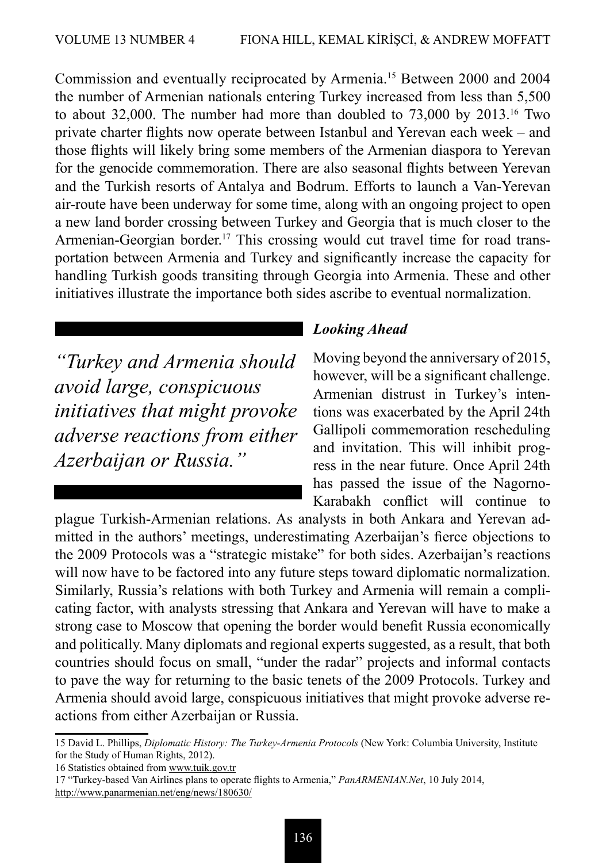Commission and eventually reciprocated by Armenia.15 Between 2000 and 2004 the number of Armenian nationals entering Turkey increased from less than 5,500 to about 32,000. The number had more than doubled to 73,000 by 2013.16 Two private charter flights now operate between Istanbul and Yerevan each week – and those flights will likely bring some members of the Armenian diaspora to Yerevan for the genocide commemoration. There are also seasonal flights between Yerevan and the Turkish resorts of Antalya and Bodrum. Efforts to launch a Van-Yerevan air-route have been underway for some time, along with an ongoing project to open a new land border crossing between Turkey and Georgia that is much closer to the Armenian-Georgian border.<sup>17</sup> This crossing would cut travel time for road transportation between Armenia and Turkey and significantly increase the capacity for handling Turkish goods transiting through Georgia into Armenia. These and other initiatives illustrate the importance both sides ascribe to eventual normalization.

*"Turkey and Armenia should avoid large, conspicuous initiatives that might provoke adverse reactions from either Azerbaijan or Russia."*

## *Looking Ahead*

Moving beyond the anniversary of 2015, however, will be a significant challenge. Armenian distrust in Turkey's intentions was exacerbated by the April 24th Gallipoli commemoration rescheduling and invitation. This will inhibit progress in the near future. Once April 24th has passed the issue of the Nagorno-Karabakh conflict will continue to

plague Turkish-Armenian relations. As analysts in both Ankara and Yerevan admitted in the authors' meetings, underestimating Azerbaijan's fierce objections to the 2009 Protocols was a "strategic mistake" for both sides. Azerbaijan's reactions will now have to be factored into any future steps toward diplomatic normalization. Similarly, Russia's relations with both Turkey and Armenia will remain a complicating factor, with analysts stressing that Ankara and Yerevan will have to make a strong case to Moscow that opening the border would benefit Russia economically and politically. Many diplomats and regional experts suggested, as a result, that both countries should focus on small, "under the radar" projects and informal contacts to pave the way for returning to the basic tenets of the 2009 Protocols. Turkey and Armenia should avoid large, conspicuous initiatives that might provoke adverse reactions from either Azerbaijan or Russia.

<sup>15</sup> David L. Phillips, *Diplomatic History: The Turkey-Armenia Protocols* (New York: Columbia University, Institute for the Study of Human Rights, 2012).

<sup>16</sup> Statistics obtained from www.tuik.gov.tr

<sup>17 &</sup>quot;Turkey-based Van Airlines plans to operate flights to Armenia," *PanARMENIAN.Net*, 10 July 2014, http://www.panarmenian.net/eng/news/180630/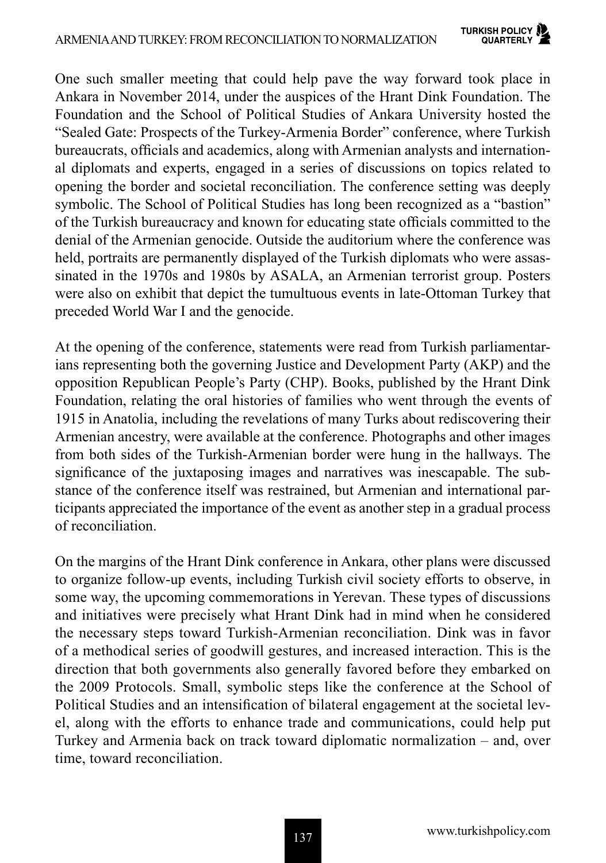One such smaller meeting that could help pave the way forward took place in Ankara in November 2014, under the auspices of the Hrant Dink Foundation. The Foundation and the School of Political Studies of Ankara University hosted the "Sealed Gate: Prospects of the Turkey-Armenia Border" conference, where Turkish bureaucrats, officials and academics, along with Armenian analysts and international diplomats and experts, engaged in a series of discussions on topics related to opening the border and societal reconciliation. The conference setting was deeply symbolic. The School of Political Studies has long been recognized as a "bastion" of the Turkish bureaucracy and known for educating state officials committed to the denial of the Armenian genocide. Outside the auditorium where the conference was held, portraits are permanently displayed of the Turkish diplomats who were assassinated in the 1970s and 1980s by ASALA, an Armenian terrorist group. Posters were also on exhibit that depict the tumultuous events in late-Ottoman Turkey that preceded World War I and the genocide.

At the opening of the conference, statements were read from Turkish parliamentarians representing both the governing Justice and Development Party (AKP) and the opposition Republican People's Party (CHP). Books, published by the Hrant Dink Foundation, relating the oral histories of families who went through the events of 1915 in Anatolia, including the revelations of many Turks about rediscovering their Armenian ancestry, were available at the conference. Photographs and other images from both sides of the Turkish-Armenian border were hung in the hallways. The significance of the juxtaposing images and narratives was inescapable. The substance of the conference itself was restrained, but Armenian and international participants appreciated the importance of the event as another step in a gradual process of reconciliation.

On the margins of the Hrant Dink conference in Ankara, other plans were discussed to organize follow-up events, including Turkish civil society efforts to observe, in some way, the upcoming commemorations in Yerevan. These types of discussions and initiatives were precisely what Hrant Dink had in mind when he considered the necessary steps toward Turkish-Armenian reconciliation. Dink was in favor of a methodical series of goodwill gestures, and increased interaction. This is the direction that both governments also generally favored before they embarked on the 2009 Protocols. Small, symbolic steps like the conference at the School of Political Studies and an intensification of bilateral engagement at the societal level, along with the efforts to enhance trade and communications, could help put Turkey and Armenia back on track toward diplomatic normalization – and, over time, toward reconciliation.